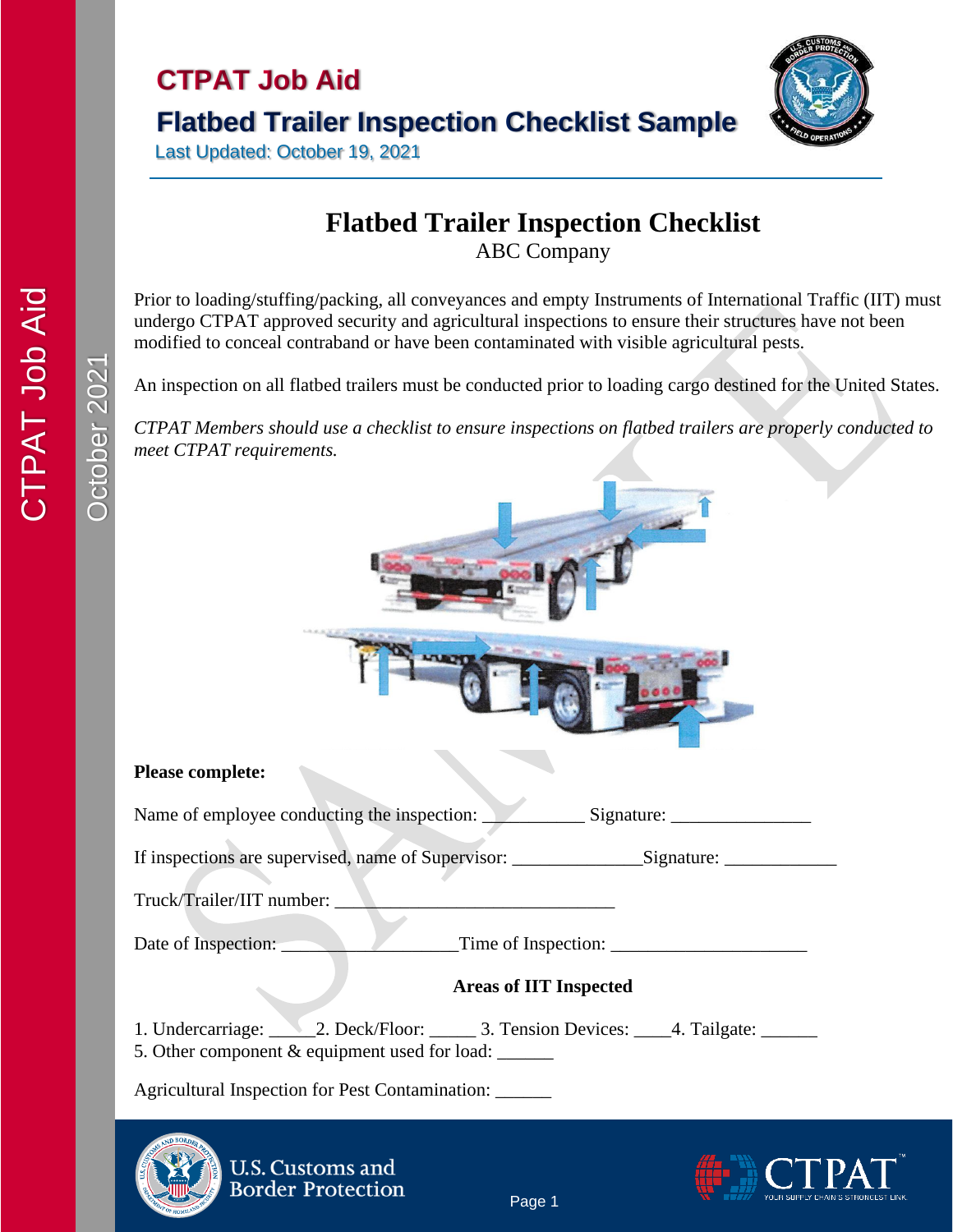# **CTPAT Job Aid Flatbed Trailer Inspection Checklist Sample**



Last Updated: October 19, 2021

**U.S. Customs and Border Protection** 

### **Flatbed Trailer Inspection Checklist**

ABC Company

Prior to loading/stuffing/packing, all conveyances and empty Instruments of International Traffic (IIT) must undergo CTPAT approved security and agricultural inspections to ensure their structures have not been modified to conceal contraband or have been contaminated with visible agricultural pests.

An inspection on all flatbed trailers must be conducted prior to loading cargo destined for the United States.

*CTPAT Members should use a checklist to ensure inspections on flatbed trailers are properly conducted to meet CTPAT requirements.*





Page 1

October 2021